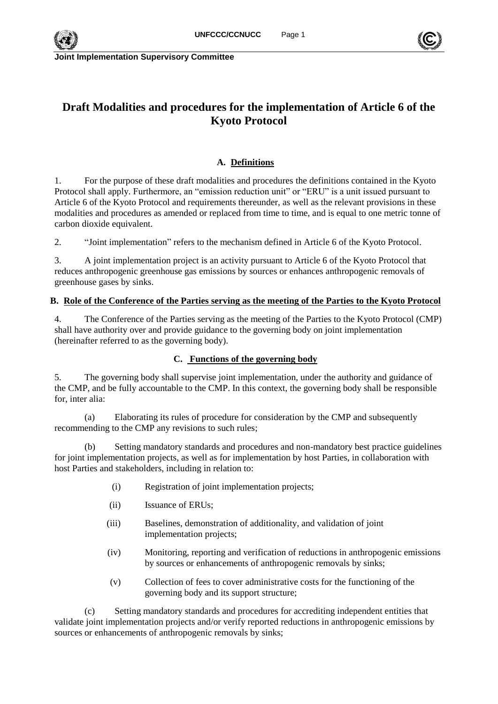

# **Draft Modalities and procedures for the implementation of Article 6 of the Kyoto Protocol**

## **A. Definitions**

1. For the purpose of these draft modalities and procedures the definitions contained in the Kyoto Protocol shall apply. Furthermore, an "emission reduction unit" or "ERU" is a unit issued pursuant to Article 6 of the Kyoto Protocol and requirements thereunder, as well as the relevant provisions in these modalities and procedures as amended or replaced from time to time, and is equal to one metric tonne of carbon dioxide equivalent.

2. "Joint implementation" refers to the mechanism defined in Article 6 of the Kyoto Protocol.

3. A joint implementation project is an activity pursuant to Article 6 of the Kyoto Protocol that reduces anthropogenic greenhouse gas emissions by sources or enhances anthropogenic removals of greenhouse gases by sinks.

## **B. Role of the Conference of the Parties serving as the meeting of the Parties to the Kyoto Protocol**

4. The Conference of the Parties serving as the meeting of the Parties to the Kyoto Protocol (CMP) shall have authority over and provide guidance to the governing body on joint implementation (hereinafter referred to as the governing body).

## **C. Functions of the governing body**

<span id="page-0-0"></span>5. The governing body shall supervise joint implementation, under the authority and guidance of the CMP, and be fully accountable to the CMP. In this context, the governing body shall be responsible for, inter alia:

(a) Elaborating its rules of procedure for consideration by the CMP and subsequently recommending to the CMP any revisions to such rules;

(b) Setting mandatory standards and procedures and non-mandatory best practice guidelines for joint implementation projects, as well as for implementation by host Parties, in collaboration with host Parties and stakeholders, including in relation to:

- (i) Registration of joint implementation projects;
- (ii) Issuance of ERUs;
- (iii) Baselines, demonstration of additionality, and validation of joint implementation projects;
- (iv) Monitoring, reporting and verification of reductions in anthropogenic emissions by sources or enhancements of anthropogenic removals by sinks;
- (v) Collection of fees to cover administrative costs for the functioning of the governing body and its support structure;

<span id="page-0-1"></span>(c) Setting mandatory standards and procedures for accrediting independent entities that validate joint implementation projects and/or verify reported reductions in anthropogenic emissions by sources or enhancements of anthropogenic removals by sinks;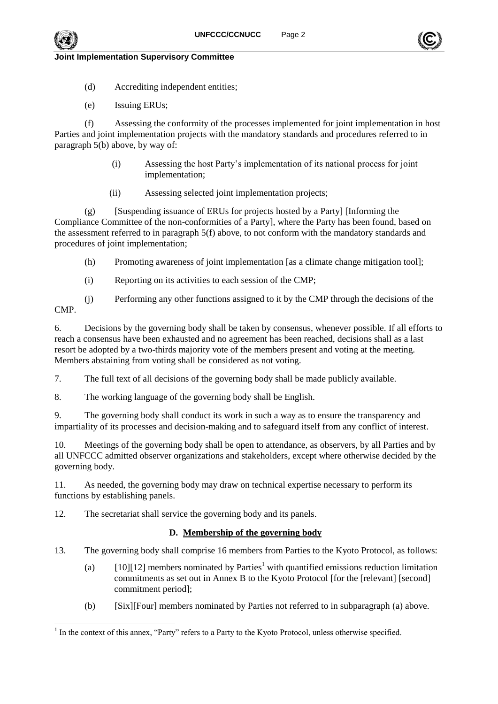- (d) Accrediting independent entities;
- (e) Issuing ERUs;

(f) Assessing the conformity of the processes implemented for joint implementation in host Parties and joint implementation projects with the mandatory standards and procedures referred to in paragraph [5\(b\) above,](#page-0-0) by way of:

- (i) Assessing the host Party's implementation of its national process for joint implementation;
- (ii) Assessing selected joint implementation projects;

(g) [Suspending issuance of ERUs for projects hosted by a Party] [Informing the Compliance Committee of the non-conformities of a Party], where the Party has been found, based on the assessment referred to in paragraph 5(f) above, to not conform with the mandatory standards and procedures of joint implementation;

- (h) Promoting awareness of joint implementation [as a climate change mitigation tool];
- (i) Reporting on its activities to each session of the CMP;

(j) Performing any other functions assigned to it by the CMP through the decisions of the

CMP.

6. Decisions by the governing body shall be taken by consensus, whenever possible. If all efforts to reach a consensus have been exhausted and no agreement has been reached, decisions shall as a last resort be adopted by a two-thirds majority vote of the members present and voting at the meeting. Members abstaining from voting shall be considered as not voting.

7. The full text of all decisions of the governing body shall be made publicly available.

8. The working language of the governing body shall be English.

9. The governing body shall conduct its work in such a way as to ensure the transparency and impartiality of its processes and decision-making and to safeguard itself from any conflict of interest.

10. Meetings of the governing body shall be open to attendance, as observers, by all Parties and by all UNFCCC admitted observer organizations and stakeholders, except where otherwise decided by the governing body.

11. As needed, the governing body may draw on technical expertise necessary to perform its functions by establishing panels.

12. The secretariat shall service the governing body and its panels.

## **D. Membership of the governing body**

<span id="page-1-0"></span>13. The governing body shall comprise 16 members from Parties to the Kyoto Protocol, as follows:

- (a)  $[10][12]$  members nominated by Parties<sup>1</sup> with quantified emissions reduction limitation commitments as set out in Annex B to the Kyoto Protocol [for the [relevant] [second] commitment period];
- (b) [Six][Four] members nominated by Parties not referred to in subparagraph (a) above.





l <sup>1</sup> In the context of this annex, "Party" refers to a Party to the Kyoto Protocol, unless otherwise specified.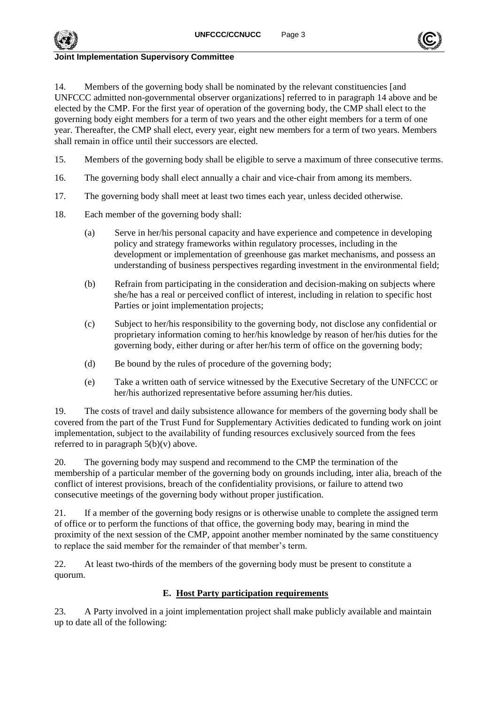

14. Members of the governing body shall be nominated by the relevant constituencies [and UNFCCC admitted non-governmental observer organizations] referred to in paragraph [14](#page-1-0) above and be elected by the CMP. For the first year of operation of the governing body, the CMP shall elect to the governing body eight members for a term of two years and the other eight members for a term of one year. Thereafter, the CMP shall elect, every year, eight new members for a term of two years. Members shall remain in office until their successors are elected.

- 15. Members of the governing body shall be eligible to serve a maximum of three consecutive terms.
- 16. The governing body shall elect annually a chair and vice-chair from among its members.
- 17. The governing body shall meet at least two times each year, unless decided otherwise.
- 18. Each member of the governing body shall:
	- (a) Serve in her/his personal capacity and have experience and competence in developing policy and strategy frameworks within regulatory processes, including in the development or implementation of greenhouse gas market mechanisms, and possess an understanding of business perspectives regarding investment in the environmental field;
	- (b) Refrain from participating in the consideration and decision-making on subjects where she/he has a real or perceived conflict of interest, including in relation to specific host Parties or joint implementation projects;
	- (c) Subject to her/his responsibility to the governing body, not disclose any confidential or proprietary information coming to her/his knowledge by reason of her/his duties for the governing body, either during or after her/his term of office on the governing body;
	- (d) Be bound by the rules of procedure of the governing body;
	- (e) Take a written oath of service witnessed by the Executive Secretary of the UNFCCC or her/his authorized representative before assuming her/his duties.

19. The costs of travel and daily subsistence allowance for members of the governing body shall be covered from the part of the Trust Fund for Supplementary Activities dedicated to funding work on joint implementation, subject to the availability of funding resources exclusively sourced from the fees referred to in paragraph  $5(b)(v)$  above.

20. The governing body may suspend and recommend to the CMP the termination of the membership of a particular member of the governing body on grounds including, inter alia, breach of the conflict of interest provisions, breach of the confidentiality provisions, or failure to attend two consecutive meetings of the governing body without proper justification.

21. If a member of the governing body resigns or is otherwise unable to complete the assigned term of office or to perform the functions of that office, the governing body may, bearing in mind the proximity of the next session of the CMP, appoint another member nominated by the same constituency to replace the said member for the remainder of that member's term.

22. At least two-thirds of the members of the governing body must be present to constitute a quorum.

## **E. Host Party participation requirements**

<span id="page-2-0"></span>23. A Party involved in a joint implementation project shall make publicly available and maintain up to date all of the following: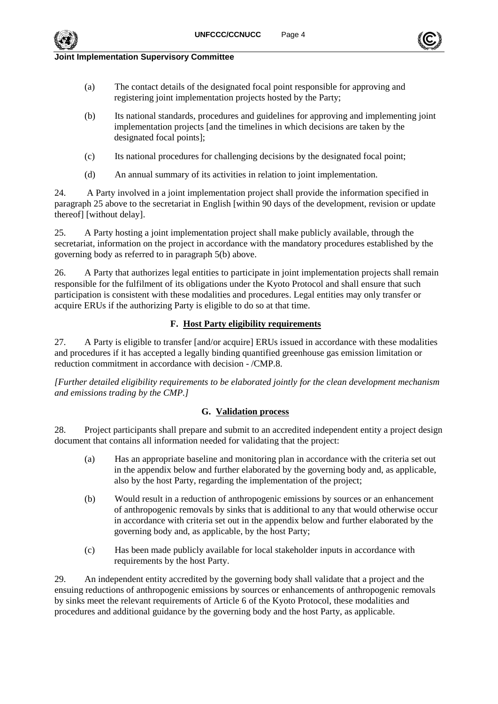

- (a) The contact details of the designated focal point responsible for approving and registering joint implementation projects hosted by the Party;
- (b) Its national standards, procedures and guidelines for approving and implementing joint implementation projects [and the timelines in which decisions are taken by the designated focal points];
- (c) Its national procedures for challenging decisions by the designated focal point;
- (d) An annual summary of its activities in relation to joint implementation.

24. A Party involved in a joint implementation project shall provide the information specified in paragraph [25](#page-2-0) above to the secretariat in English [within 90 days of the development, revision or update thereof] [without delay].

25. A Party hosting a joint implementation project shall make publicly available, through the secretariat, information on the project in accordance with the mandatory procedures established by the governing body as referred to in paragraph [5\(b\) above.](#page-0-0)

26. A Party that authorizes legal entities to participate in joint implementation projects shall remain responsible for the fulfilment of its obligations under the Kyoto Protocol and shall ensure that such participation is consistent with these modalities and procedures. Legal entities may only transfer or acquire ERUs if the authorizing Party is eligible to do so at that time.

#### **F. Host Party eligibility requirements**

27. A Party is eligible to transfer [and/or acquire] ERUs issued in accordance with these modalities and procedures if it has accepted a legally binding quantified greenhouse gas emission limitation or reduction commitment in accordance with decision - /CMP.8.

*[Further detailed eligibility requirements to be elaborated jointly for the clean development mechanism and emissions trading by the CMP.]*

#### **G. Validation process**

28. Project participants shall prepare and submit to an accredited independent entity a project design document that contains all information needed for validating that the project:

- (a) Has an appropriate baseline and monitoring plan in accordance with the criteria set out in the appendix below and further elaborated by the governing body and, as applicable, also by the host Party, regarding the implementation of the project;
- (b) Would result in a reduction of anthropogenic emissions by sources or an enhancement of anthropogenic removals by sinks that is additional to any that would otherwise occur in accordance with criteria set out in the appendix below and further elaborated by the governing body and, as applicable, by the host Party;
- (c) Has been made publicly available for local stakeholder inputs in accordance with requirements by the host Party.

29. An independent entity accredited by the governing body shall validate that a project and the ensuing reductions of anthropogenic emissions by sources or enhancements of anthropogenic removals by sinks meet the relevant requirements of Article 6 of the Kyoto Protocol, these modalities and procedures and additional guidance by the governing body and the host Party, as applicable.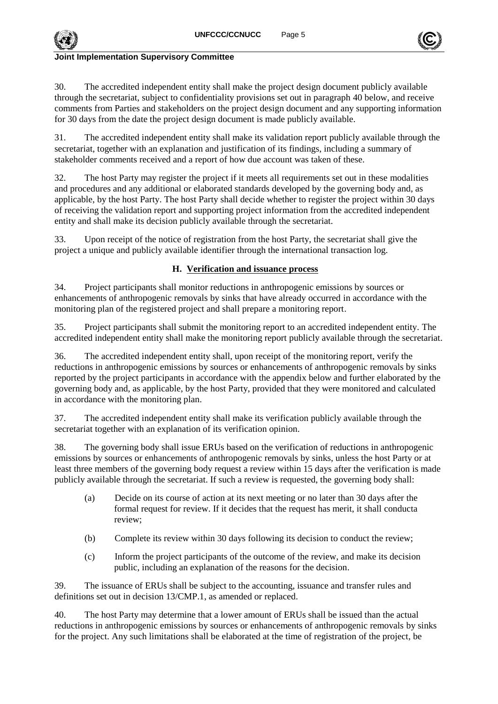

30. The accredited independent entity shall make the project design document publicly available through the secretariat, subject to confidentiality provisions set out in paragraph [40](#page-4-0) below, and receive comments from Parties and stakeholders on the project design document and any supporting information for 30 days from the date the project design document is made publicly available.

31. The accredited independent entity shall make its validation report publicly available through the secretariat, together with an explanation and justification of its findings, including a summary of stakeholder comments received and a report of how due account was taken of these.

32. The host Party may register the project if it meets all requirements set out in these modalities and procedures and any additional or elaborated standards developed by the governing body and, as applicable, by the host Party. The host Party shall decide whether to register the project within 30 days of receiving the validation report and supporting project information from the accredited independent entity and shall make its decision publicly available through the secretariat.

33. Upon receipt of the notice of registration from the host Party, the secretariat shall give the project a unique and publicly available identifier through the international transaction log.

## **H. Verification and issuance process**

34. Project participants shall monitor reductions in anthropogenic emissions by sources or enhancements of anthropogenic removals by sinks that have already occurred in accordance with the monitoring plan of the registered project and shall prepare a monitoring report.

35. Project participants shall submit the monitoring report to an accredited independent entity. The accredited independent entity shall make the monitoring report publicly available through the secretariat.

36. The accredited independent entity shall, upon receipt of the monitoring report, verify the reductions in anthropogenic emissions by sources or enhancements of anthropogenic removals by sinks reported by the project participants in accordance with the appendix below and further elaborated by the governing body and, as applicable, by the host Party, provided that they were monitored and calculated in accordance with the monitoring plan.

37. The accredited independent entity shall make its verification publicly available through the secretariat together with an explanation of its verification opinion.

<span id="page-4-0"></span>38. The governing body shall issue ERUs based on the verification of reductions in anthropogenic emissions by sources or enhancements of anthropogenic removals by sinks, unless the host Party or at least three members of the governing body request a review within 15 days after the verification is made publicly available through the secretariat. If such a review is requested, the governing body shall:

- (a) Decide on its course of action at its next meeting or no later than 30 days after the formal request for review. If it decides that the request has merit, it shall conducta review;
- (b) Complete its review within 30 days following its decision to conduct the review;
- (c) Inform the project participants of the outcome of the review, and make its decision public, including an explanation of the reasons for the decision.

39. The issuance of ERUs shall be subject to the accounting, issuance and transfer rules and definitions set out in decision 13/CMP.1, as amended or replaced.

40. The host Party may determine that a lower amount of ERUs shall be issued than the actual reductions in anthropogenic emissions by sources or enhancements of anthropogenic removals by sinks for the project. Any such limitations shall be elaborated at the time of registration of the project, be

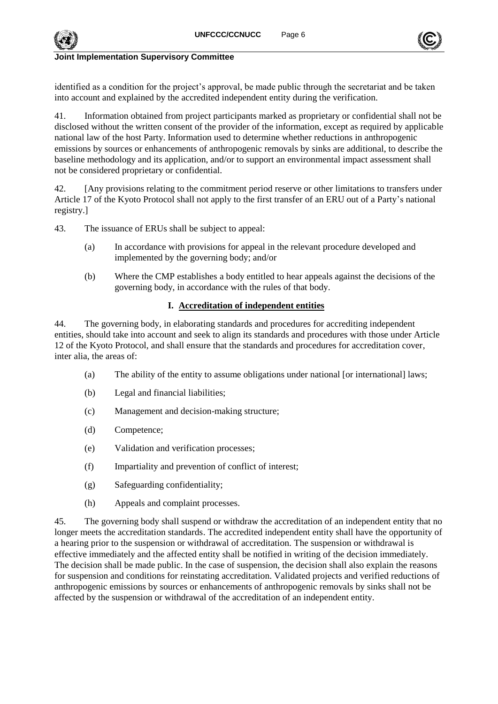

identified as a condition for the project's approval, be made public through the secretariat and be taken into account and explained by the accredited independent entity during the verification.

41. Information obtained from project participants marked as proprietary or confidential shall not be disclosed without the written consent of the provider of the information, except as required by applicable national law of the host Party. Information used to determine whether reductions in anthropogenic emissions by sources or enhancements of anthropogenic removals by sinks are additional, to describe the baseline methodology and its application, and/or to support an environmental impact assessment shall not be considered proprietary or confidential.

42. [Any provisions relating to the commitment period reserve or other limitations to transfers under Article 17 of the Kyoto Protocol shall not apply to the first transfer of an ERU out of a Party's national registry.]

43. The issuance of ERUs shall be subject to appeal:

- (a) In accordance with provisions for appeal in the relevant procedure developed and implemented by the governing body; and/or
- (b) Where the CMP establishes a body entitled to hear appeals against the decisions of the governing body, in accordance with the rules of that body.

#### **I. Accreditation of independent entities**

44. The governing body, in elaborating standards and procedures for accrediting independent entities, should take into account and seek to align its standards and procedures with those under Article 12 of the Kyoto Protocol, and shall ensure that the standards and procedures for accreditation cover, inter alia, the areas of:

- (a) The ability of the entity to assume obligations under national [or international] laws;
- (b) Legal and financial liabilities;
- (c) Management and decision-making structure;
- (d) Competence;
- (e) Validation and verification processes;
- (f) Impartiality and prevention of conflict of interest;
- (g) Safeguarding confidentiality;
- (h) Appeals and complaint processes.

45. The governing body shall suspend or withdraw the accreditation of an independent entity that no longer meets the accreditation standards. The accredited independent entity shall have the opportunity of a hearing prior to the suspension or withdrawal of accreditation. The suspension or withdrawal is effective immediately and the affected entity shall be notified in writing of the decision immediately. The decision shall be made public. In the case of suspension, the decision shall also explain the reasons for suspension and conditions for reinstating accreditation. Validated projects and verified reductions of anthropogenic emissions by sources or enhancements of anthropogenic removals by sinks shall not be affected by the suspension or withdrawal of the accreditation of an independent entity.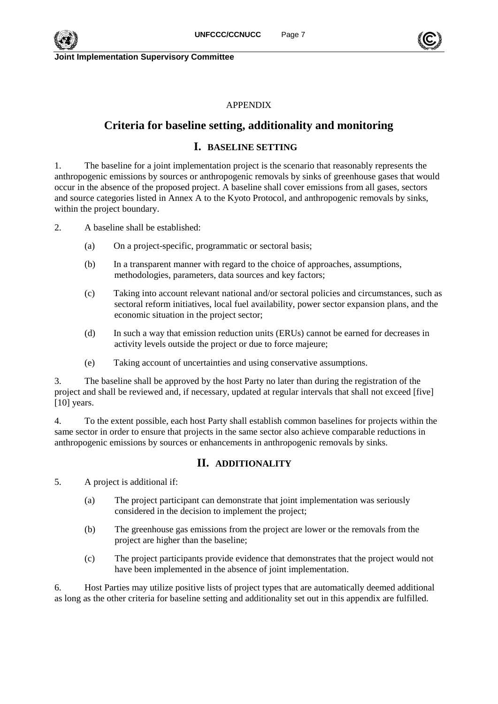

## APPENDIX

# **Criteria for baseline setting, additionality and monitoring**

## **I. BASELINE SETTING**

1. The baseline for a joint implementation project is the scenario that reasonably represents the anthropogenic emissions by sources or anthropogenic removals by sinks of greenhouse gases that would occur in the absence of the proposed project. A baseline shall cover emissions from all gases, sectors and source categories listed in Annex A to the Kyoto Protocol, and anthropogenic removals by sinks, within the project boundary.

2. A baseline shall be established:

- (a) On a project-specific, programmatic or sectoral basis;
- (b) In a transparent manner with regard to the choice of approaches, assumptions, methodologies, parameters, data sources and key factors;
- (c) Taking into account relevant national and/or sectoral policies and circumstances, such as sectoral reform initiatives, local fuel availability, power sector expansion plans, and the economic situation in the project sector;
- (d) In such a way that emission reduction units (ERUs) cannot be earned for decreases in activity levels outside the project or due to force majeure;
- (e) Taking account of uncertainties and using conservative assumptions.

3. The baseline shall be approved by the host Party no later than during the registration of the project and shall be reviewed and, if necessary, updated at regular intervals that shall not exceed [five] [10] years.

4. To the extent possible, each host Party shall establish common baselines for projects within the same sector in order to ensure that projects in the same sector also achieve comparable reductions in anthropogenic emissions by sources or enhancements in anthropogenic removals by sinks.

## **II. ADDITIONALITY**

5. A project is additional if:

- (a) The project participant can demonstrate that joint implementation was seriously considered in the decision to implement the project;
- (b) The greenhouse gas emissions from the project are lower or the removals from the project are higher than the baseline;
- (c) The project participants provide evidence that demonstrates that the project would not have been implemented in the absence of joint implementation.

6. Host Parties may utilize positive lists of project types that are automatically deemed additional as long as the other criteria for baseline setting and additionality set out in this appendix are fulfilled.